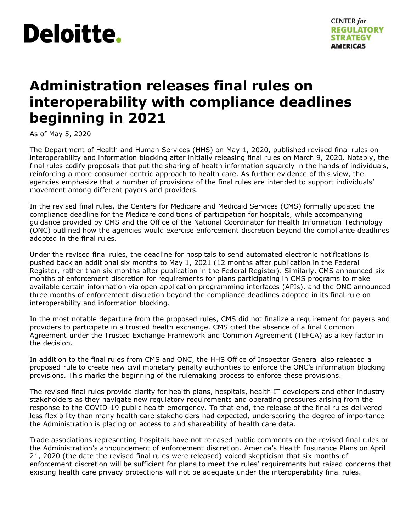

# **Administration releases final rules on interoperability with compliance deadlines beginning in 2021**

As of May 5, 2020

The Department of Health and Human Services (HHS) on May 1, 2020, published revised final rules on interoperability and information blocking after initially releasing final rules on March 9, 2020. Notably, the final rules codify proposals that put the sharing of health information squarely in the hands of individuals, reinforcing a more consumer-centric approach to health care. As further evidence of this view, the agencies emphasize that a number of provisions of the final rules are intended to support individuals' movement among different payers and providers.

In the revised final rules, the Centers for Medicare and Medicaid Services (CMS) formally updated the compliance deadline for the Medicare conditions of participation for hospitals, while accompanying guidance provided by CMS and the Office of the National Coordinator for Health Information Technology (ONC) outlined how the agencies would exercise enforcement discretion beyond the compliance deadlines adopted in the final rules.

Under the revised final rules, the deadline for hospitals to send automated electronic notifications is pushed back an additional six months to May 1, 2021 (12 months after publication in the Federal Register, rather than six months after publication in the Federal Register). Similarly, CMS announced six months of enforcement discretion for requirements for plans participating in CMS programs to make available certain information via open application programming interfaces (APIs), and the ONC announced three months of enforcement discretion beyond the compliance deadlines adopted in its final rule on interoperability and information blocking.

In the most notable departure from the proposed rules, CMS did not finalize a requirement for payers and providers to participate in a trusted health exchange. CMS cited the absence of a final Common Agreement under the Trusted Exchange Framework and Common Agreement (TEFCA) as a key factor in the decision.

In addition to the final rules from CMS and ONC, the HHS Office of Inspector General also released a proposed rule to create new civil monetary penalty authorities to enforce the ONC's information blocking provisions. This marks the beginning of the rulemaking process to enforce these provisions.

The revised final rules provide clarity for health plans, hospitals, health IT developers and other industry stakeholders as they navigate new regulatory requirements and operating pressures arising from the response to the COVID-19 public health emergency. To that end, the release of the final rules delivered less flexibility than many health care stakeholders had expected, underscoring the degree of importance the Administration is placing on access to and shareability of health care data.

Trade associations representing hospitals have not released public comments on the revised final rules or the Administration's announcement of enforcement discretion. America's Health Insurance Plans on April 21, 2020 (the date the revised final rules were released) voiced skepticism that six months of enforcement discretion will be sufficient for plans to meet the rules' requirements but raised concerns that existing health care privacy protections will not be adequate under the interoperability final rules.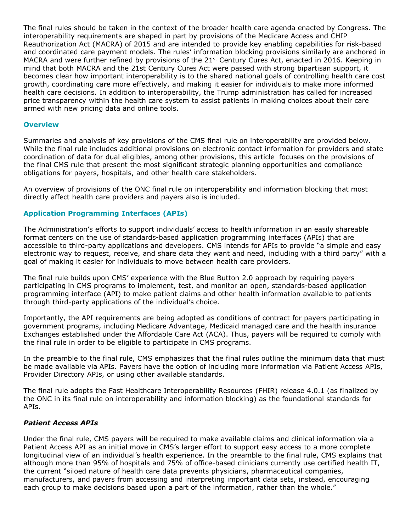The final rules should be taken in the context of the broader health care agenda enacted by Congress. The interoperability requirements are shaped in part by provisions of the Medicare Access and CHIP Reauthorization Act (MACRA) of 2015 and are intended to provide key enabling capabilities for risk-based and coordinated care payment models. The rules' information blocking provisions similarly are anchored in MACRA and were further refined by provisions of the  $21^{st}$  Century Cures Act, enacted in 2016. Keeping in mind that both MACRA and the 21st Century Cures Act were passed with strong bipartisan support, it becomes clear how important interoperability is to the shared national goals of controlling health care cost growth, coordinating care more effectively, and making it easier for individuals to make more informed health care decisions. In addition to interoperability, the Trump administration has called for increased price transparency within the health care system to assist patients in making choices about their care armed with new pricing data and online tools.

#### **Overview**

Summaries and analysis of key provisions of the CMS final rule on interoperability are provided below. While the final rule includes additional provisions on electronic contact information for providers and state coordination of data for dual eligibles, among other provisions, this article focuses on the provisions of the final CMS rule that present the most significant strategic planning opportunities and compliance obligations for payers, hospitals, and other health care stakeholders.

An overview of provisions of the ONC final rule on interoperability and information blocking that most directly affect health care providers and payers also is included.

## **Application Programming Interfaces (APIs)**

The Administration's efforts to support individuals' access to health information in an easily shareable format centers on the use of standards-based application programming interfaces (APIs) that are accessible to third-party applications and developers. CMS intends for APIs to provide "a simple and easy electronic way to request, receive, and share data they want and need, including with a third party" with a goal of making it easier for individuals to move between health care providers.

The final rule builds upon CMS' experience with the Blue Button 2.0 approach by requiring payers participating in CMS programs to implement, test, and monitor an open, standards-based application programming interface (API) to make patient claims and other health information available to patients through third-party applications of the individual's choice.

Importantly, the API requirements are being adopted as conditions of contract for payers participating in government programs, including Medicare Advantage, Medicaid managed care and the health insurance Exchanges established under the Affordable Care Act (ACA). Thus, payers will be required to comply with the final rule in order to be eligible to participate in CMS programs.

In the preamble to the final rule, CMS emphasizes that the final rules outline the minimum data that must be made available via APIs. Payers have the option of including more information via Patient Access APIs, Provider Directory APIs, or using other available standards.

The final rule adopts the Fast Healthcare Interoperability Resources (FHIR) release 4.0.1 (as finalized by the ONC in its final rule on interoperability and information blocking) as the foundational standards for APIs.

## *Patient Access APIs*

Under the final rule, CMS payers will be required to make available claims and clinical information via a Patient Access API as an initial move in CMS's larger effort to support easy access to a more complete longitudinal view of an individual's health experience. In the preamble to the final rule, CMS explains that although more than 95% of hospitals and 75% of office-based clinicians currently use certified health IT, the current "siloed nature of health care data prevents physicians, pharmaceutical companies, manufacturers, and payers from accessing and interpreting important data sets, instead, encouraging each group to make decisions based upon a part of the information, rather than the whole."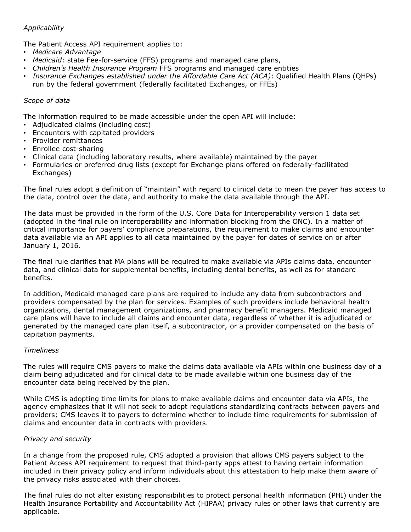## *Applicability*

The Patient Access API requirement applies to:

- *Medicare Advantage*
- *Medicaid*: state Fee-for-service (FFS) programs and managed care plans,
- *Children's Health Insurance Program* FFS programs and managed care entities
- *Insurance Exchanges established under the Affordable Care Act (ACA)*: Qualified Health Plans (QHPs) run by the federal government (federally facilitated Exchanges, or FFEs)

## *Scope of data*

The information required to be made accessible under the open API will include:

- Adjudicated claims (including cost)
- Encounters with capitated providers
- Provider remittances
- Enrollee cost-sharing
- Clinical data (including laboratory results, where available) maintained by the payer
- Formularies or preferred drug lists (except for Exchange plans offered on federally-facilitated Exchanges)

The final rules adopt a definition of "maintain" with regard to clinical data to mean the payer has access to the data, control over the data, and authority to make the data available through the API.

The data must be provided in the form of the U.S. Core Data for Interoperability version 1 data set (adopted in the final rule on interoperability and information blocking from the ONC). In a matter of critical importance for payers' compliance preparations, the requirement to make claims and encounter data available via an API applies to all data maintained by the payer for dates of service on or after January 1, 2016.

The final rule clarifies that MA plans will be required to make available via APIs claims data, encounter data, and clinical data for supplemental benefits, including dental benefits, as well as for standard benefits.

In addition, Medicaid managed care plans are required to include any data from subcontractors and providers compensated by the plan for services. Examples of such providers include behavioral health organizations, dental management organizations, and pharmacy benefit managers. Medicaid managed care plans will have to include all claims and encounter data, regardless of whether it is adjudicated or generated by the managed care plan itself, a subcontractor, or a provider compensated on the basis of capitation payments.

## *Timeliness*

The rules will require CMS payers to make the claims data available via APIs within one business day of a claim being adjudicated and for clinical data to be made available within one business day of the encounter data being received by the plan.

While CMS is adopting time limits for plans to make available claims and encounter data via APIs, the agency emphasizes that it will not seek to adopt regulations standardizing contracts between payers and providers; CMS leaves it to payers to determine whether to include time requirements for submission of claims and encounter data in contracts with providers.

## *Privacy and security*

In a change from the proposed rule, CMS adopted a provision that allows CMS payers subject to the Patient Access API requirement to request that third-party apps attest to having certain information included in their privacy policy and inform individuals about this attestation to help make them aware of the privacy risks associated with their choices.

The final rules do not alter existing responsibilities to protect personal health information (PHI) under the Health Insurance Portability and Accountability Act (HIPAA) privacy rules or other laws that currently are applicable.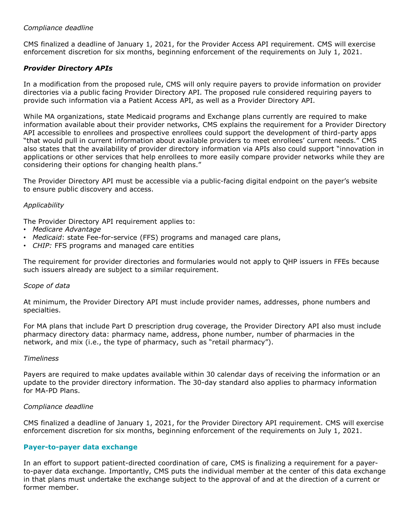## *Compliance deadline*

CMS finalized a deadline of January 1, 2021, for the Provider Access API requirement. CMS will exercise enforcement discretion for six months, beginning enforcement of the requirements on July 1, 2021.

# *Provider Directory APIs*

In a modification from the proposed rule, CMS will only require payers to provide information on provider directories via a public facing Provider Directory API. The proposed rule considered requiring payers to provide such information via a Patient Access API, as well as a Provider Directory API.

While MA organizations, state Medicaid programs and Exchange plans currently are required to make information available about their provider networks, CMS explains the requirement for a Provider Directory API accessible to enrollees and prospective enrollees could support the development of third-party apps "that would pull in current information about available providers to meet enrollees' current needs." CMS also states that the availability of provider directory information via APIs also could support "innovation in applications or other services that help enrollees to more easily compare provider networks while they are considering their options for changing health plans."

The Provider Directory API must be accessible via a public-facing digital endpoint on the payer's website to ensure public discovery and access.

## *Applicability*

The Provider Directory API requirement applies to:

- *Medicare Advantage*
- *Medicaid*: state Fee-for-service (FFS) programs and managed care plans,
- *CHIP:* FFS programs and managed care entities

The requirement for provider directories and formularies would not apply to QHP issuers in FFEs because such issuers already are subject to a similar requirement.

#### *Scope of data*

At minimum, the Provider Directory API must include provider names, addresses, phone numbers and specialties.

For MA plans that include Part D prescription drug coverage, the Provider Directory API also must include pharmacy directory data: pharmacy name, address, phone number, number of pharmacies in the network, and mix (i.e., the type of pharmacy, such as "retail pharmacy").

#### *Timeliness*

Payers are required to make updates available within 30 calendar days of receiving the information or an update to the provider directory information. The 30-day standard also applies to pharmacy information for MA-PD Plans.

## *Compliance deadline*

CMS finalized a deadline of January 1, 2021, for the Provider Directory API requirement. CMS will exercise enforcement discretion for six months, beginning enforcement of the requirements on July 1, 2021.

## **Payer-to-payer data exchange**

In an effort to support patient-directed coordination of care, CMS is finalizing a requirement for a payerto-payer data exchange. Importantly, CMS puts the individual member at the center of this data exchange in that plans must undertake the exchange subject to the approval of and at the direction of a current or former member.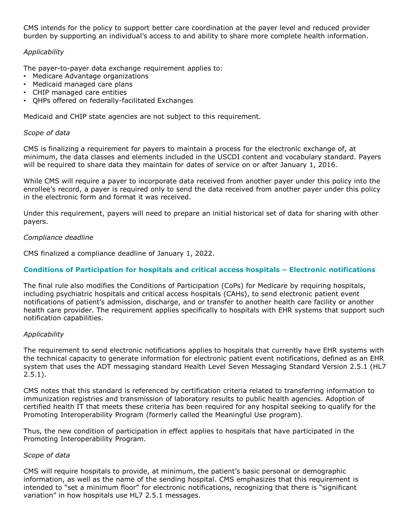CMS intends for the policy to support better care coordination at the payer level and reduced provider burden by supporting an individual's access to and ability to share more complete health information.

## *Applicability*

The payer-to-payer data exchange requirement applies to:

- Medicare Advantage organizations
- Medicaid managed care plans
- CHIP managed care entities
- QHPs offered on federally-facilitated Exchanges

Medicaid and CHIP state agencies are not subject to this requirement.

## *Scope of data*

CMS is finalizing a requirement for payers to maintain a process for the electronic exchange of, at minimum, the data classes and elements included in the USCDI content and vocabulary standard. Payers will be required to share data they maintain for dates of service on or after January 1, 2016.

While CMS will require a payer to incorporate data received from another payer under this policy into the enrollee's record, a payer is required only to send the data received from another payer under this policy in the electronic form and format it was received.

Under this requirement, payers will need to prepare an initial historical set of data for sharing with other payers.

## *Compliance deadline*

CMS finalized a compliance deadline of January 1, 2022.

## **Conditions of Participation for hospitals and critical access hospitals – Electronic notifications**

The final rule also modifies the Conditions of Participation (CoPs) for Medicare by requiring hospitals, including psychiatric hospitals and critical access hospitals (CAHs), to send electronic patient event notifications of patient's admission, discharge, and or transfer to another health care facility or another health care provider. The requirement applies specifically to hospitals with EHR systems that support such notification capabilities.

## *Applicability*

The requirement to send electronic notifications applies to hospitals that currently have EHR systems with the technical capacity to generate information for electronic patient event notifications, defined as an EHR system that uses the ADT messaging standard Health Level Seven Messaging Standard Version 2.5.1 (HL7  $2.5.1$ ).

CMS notes that this standard is referenced by certification criteria related to transferring information to immunization registries and transmission of laboratory results to public health agencies. Adoption of certified health IT that meets these criteria has been required for any hospital seeking to qualify for the Promoting Interoperability Program (formerly called the Meaningful Use program).

Thus, the new condition of participation in effect applies to hospitals that have participated in the Promoting Interoperability Program.

## *Scope of data*

CMS will require hospitals to provide, at minimum, the patient's basic personal or demographic information, as well as the name of the sending hospital. CMS emphasizes that this requirement is intended to "set a minimum floor" for electronic notifications, recognizing that there is "significant variation" in how hospitals use HL7 2.5.1 messages.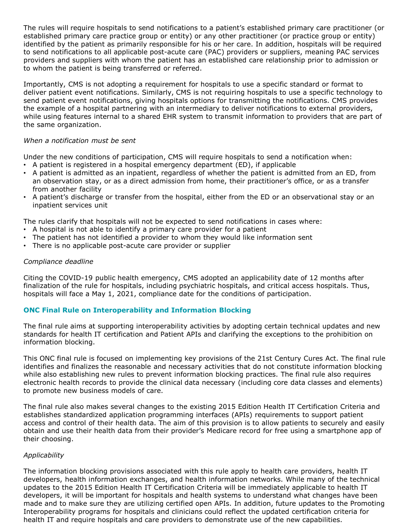The rules will require hospitals to send notifications to a patient's established primary care practitioner (or established primary care practice group or entity) or any other practitioner (or practice group or entity) identified by the patient as primarily responsible for his or her care. In addition, hospitals will be required to send notifications to all applicable post-acute care (PAC) providers or suppliers, meaning PAC services providers and suppliers with whom the patient has an established care relationship prior to admission or to whom the patient is being transferred or referred.

Importantly, CMS is not adopting a requirement for hospitals to use a specific standard or format to deliver patient event notifications. Similarly, CMS is not requiring hospitals to use a specific technology to send patient event notifications, giving hospitals options for transmitting the notifications. CMS provides the example of a hospital partnering with an intermediary to deliver notifications to external providers, while using features internal to a shared EHR system to transmit information to providers that are part of the same organization.

## *When a notification must be sent*

Under the new conditions of participation, CMS will require hospitals to send a notification when:

- A patient is registered in a hospital emergency department (ED), if applicable
- A patient is admitted as an inpatient, regardless of whether the patient is admitted from an ED, from an observation stay, or as a direct admission from home, their practitioner's office, or as a transfer from another facility
- A patient's discharge or transfer from the hospital, either from the ED or an observational stay or an inpatient services unit

The rules clarify that hospitals will not be expected to send notifications in cases where:

- A hospital is not able to identify a primary care provider for a patient
- The patient has not identified a provider to whom they would like information sent
- There is no applicable post-acute care provider or supplier

## *Compliance deadline*

Citing the COVID-19 public health emergency, CMS adopted an applicability date of 12 months after finalization of the rule for hospitals, including psychiatric hospitals, and critical access hospitals. Thus, hospitals will face a May 1, 2021, compliance date for the conditions of participation.

# **ONC Final Rule on Interoperability and Information Blocking**

The final rule aims at supporting interoperability activities by adopting certain technical updates and new standards for health IT certification and Patient APIs and clarifying the exceptions to the prohibition on information blocking.

This ONC final rule is focused on implementing key provisions of the 21st Century Cures Act. The final rule identifies and finalizes the reasonable and necessary activities that do not constitute information blocking while also establishing new rules to prevent information blocking practices. The final rule also requires electronic health records to provide the clinical data necessary (including core data classes and elements) to promote new business models of care.

The final rule also makes several changes to the existing 2015 Edition Health IT Certification Criteria and establishes standardized application programming interfaces (APIs) requirements to support patient access and control of their health data. The aim of this provision is to allow patients to securely and easily obtain and use their health data from their provider's Medicare record for free using a smartphone app of their choosing.

## *Applicability*

The information blocking provisions associated with this rule apply to health care providers, health IT developers, health information exchanges, and health information networks. While many of the technical updates to the 2015 Edition Health IT Certification Criteria will be immediately applicable to health IT developers, it will be important for hospitals and health systems to understand what changes have been made and to make sure they are utilizing certified open APIs. In addition, future updates to the Promoting Interoperability programs for hospitals and clinicians could reflect the updated certification criteria for health IT and require hospitals and care providers to demonstrate use of the new capabilities.